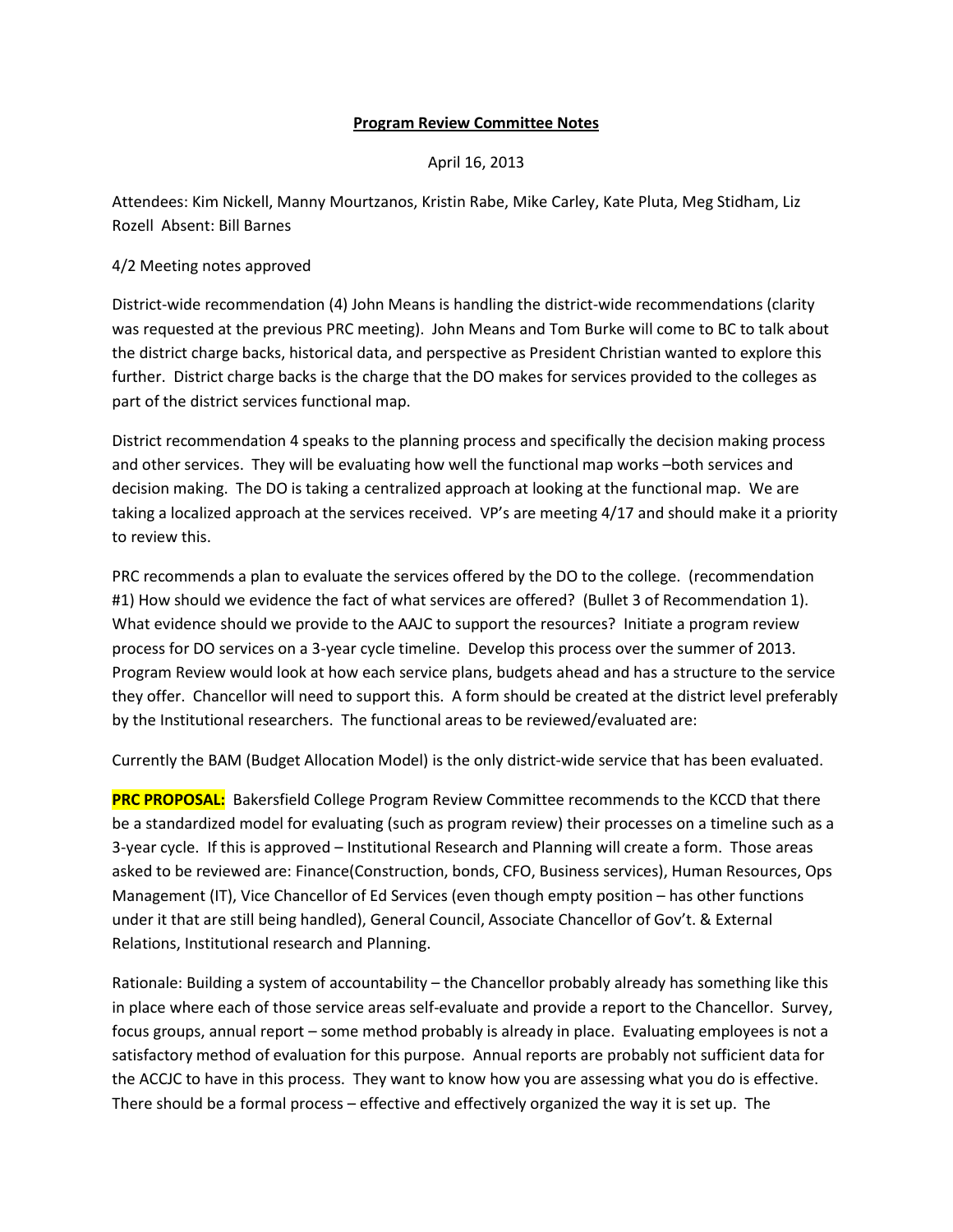## **Program Review Committee Notes**

## April 16, 2013

Attendees: Kim Nickell, Manny Mourtzanos, Kristin Rabe, Mike Carley, Kate Pluta, Meg Stidham, Liz Rozell Absent: Bill Barnes

## 4/2 Meeting notes approved

District-wide recommendation (4) John Means is handling the district-wide recommendations (clarity was requested at the previous PRC meeting). John Means and Tom Burke will come to BC to talk about the district charge backs, historical data, and perspective as President Christian wanted to explore this further. District charge backs is the charge that the DO makes for services provided to the colleges as part of the district services functional map.

District recommendation 4 speaks to the planning process and specifically the decision making process and other services. They will be evaluating how well the functional map works –both services and decision making. The DO is taking a centralized approach at looking at the functional map. We are taking a localized approach at the services received. VP's are meeting 4/17 and should make it a priority to review this.

PRC recommends a plan to evaluate the services offered by the DO to the college. (recommendation #1) How should we evidence the fact of what services are offered? (Bullet 3 of Recommendation 1). What evidence should we provide to the AAJC to support the resources? Initiate a program review process for DO services on a 3-year cycle timeline. Develop this process over the summer of 2013. Program Review would look at how each service plans, budgets ahead and has a structure to the service they offer. Chancellor will need to support this. A form should be created at the district level preferably by the Institutional researchers. The functional areas to be reviewed/evaluated are:

Currently the BAM (Budget Allocation Model) is the only district-wide service that has been evaluated.

**PRC PROPOSAL:** Bakersfield College Program Review Committee recommends to the KCCD that there be a standardized model for evaluating (such as program review) their processes on a timeline such as a 3-year cycle. If this is approved – Institutional Research and Planning will create a form. Those areas asked to be reviewed are: Finance(Construction, bonds, CFO, Business services), Human Resources, Ops Management (IT), Vice Chancellor of Ed Services (even though empty position – has other functions under it that are still being handled), General Council, Associate Chancellor of Gov't. & External Relations, Institutional research and Planning.

Rationale: Building a system of accountability – the Chancellor probably already has something like this in place where each of those service areas self-evaluate and provide a report to the Chancellor. Survey, focus groups, annual report – some method probably is already in place. Evaluating employees is not a satisfactory method of evaluation for this purpose. Annual reports are probably not sufficient data for the ACCJC to have in this process. They want to know how you are assessing what you do is effective. There should be a formal process – effective and effectively organized the way it is set up. The